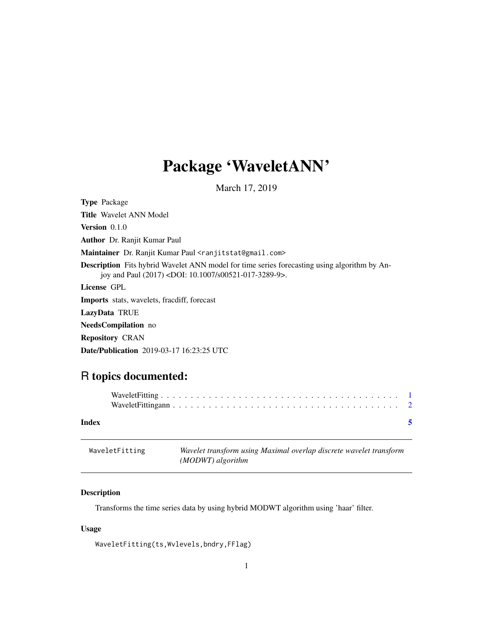## <span id="page-0-0"></span>Package 'WaveletANN'

March 17, 2019

| <b>Type Package</b>                                                                                                                                                       |
|---------------------------------------------------------------------------------------------------------------------------------------------------------------------------|
| <b>Title</b> Wavelet ANN Model                                                                                                                                            |
| <b>Version</b> $0.1.0$                                                                                                                                                    |
| <b>Author</b> Dr. Ranjit Kumar Paul                                                                                                                                       |
| Maintainer Dr. Ranjit Kumar Paul <ranjitstat@gmail.com></ranjitstat@gmail.com>                                                                                            |
| <b>Description</b> Fits hybrid Wavelet ANN model for time series forecasting using algorithm by An-<br>joy and Paul (2017) <doi: 10.1007="" s00521-017-3289-9="">.</doi:> |
| License GPL                                                                                                                                                               |
| <b>Imports</b> stats, wavelets, fracdiff, forecast                                                                                                                        |
| LazyData TRUE                                                                                                                                                             |
| <b>NeedsCompilation</b> no                                                                                                                                                |
| <b>Repository CRAN</b>                                                                                                                                                    |
| <b>Date/Publication</b> 2019-03-17 16:23:25 UTC                                                                                                                           |

### R topics documented:

| Index | -5 |  |
|-------|----|--|

| WaveletFitting | Wavelet transform using Maximal overlap discrete wavelet transform |
|----------------|--------------------------------------------------------------------|
|                | (MODWT) algorithm                                                  |

#### Description

Transforms the time series data by using hybrid MODWT algorithm using 'haar' filter.

#### Usage

WaveletFitting(ts,Wvlevels,bndry,FFlag)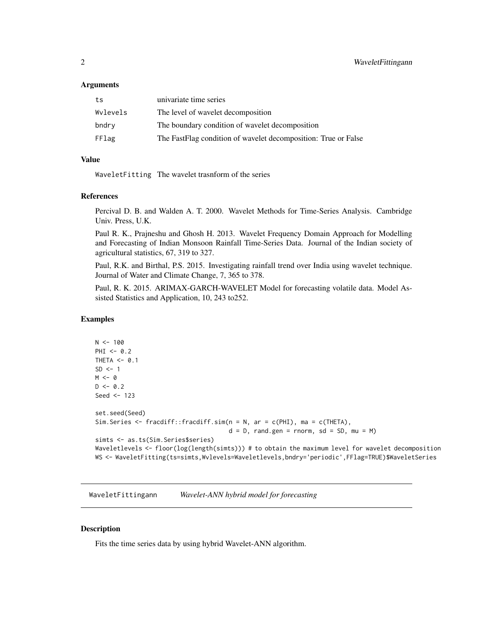#### <span id="page-1-0"></span>Arguments

| ts       | univariate time series                                         |
|----------|----------------------------------------------------------------|
| Wylevels | The level of wavelet decomposition                             |
| bndry    | The boundary condition of wavelet decomposition                |
| FFlag    | The FastFlag condition of wavelet decomposition: True or False |

#### Value

WaveletFitting The wavelet trasnform of the series

#### References

Percival D. B. and Walden A. T. 2000. Wavelet Methods for Time-Series Analysis. Cambridge Univ. Press, U.K.

Paul R. K., Prajneshu and Ghosh H. 2013. Wavelet Frequency Domain Approach for Modelling and Forecasting of Indian Monsoon Rainfall Time-Series Data. Journal of the Indian society of agricultural statistics, 67, 319 to 327.

Paul, R.K. and Birthal, P.S. 2015. Investigating rainfall trend over India using wavelet technique. Journal of Water and Climate Change, 7, 365 to 378.

Paul, R. K. 2015. ARIMAX-GARCH-WAVELET Model for forecasting volatile data. Model Assisted Statistics and Application, 10, 243 to252.

#### Examples

```
N < - 100PHI < -0.2THETA <- 0.1
SD < -1M < - \varnothingD \le -0.2Seed <- 123
set.seed(Seed)
Sim.Series <- fracdiff::fracdiff.sim(n = N, ar = c(PHI), ma = c(THETA),
                                      d = D, rand.gen = rnorm, sd = SD, mu = M)
simts <- as.ts(Sim.Series$series)
Waveletlevels <- floor(log(length(simts))) # to obtain the maximum level for wavelet decomposition
WS <- WaveletFitting(ts=simts,Wvlevels=Waveletlevels,bndry='periodic',FFlag=TRUE)$WaveletSeries
```
WaveletFittingann *Wavelet-ANN hybrid model for forecasting*

#### Description

Fits the time series data by using hybrid Wavelet-ANN algorithm.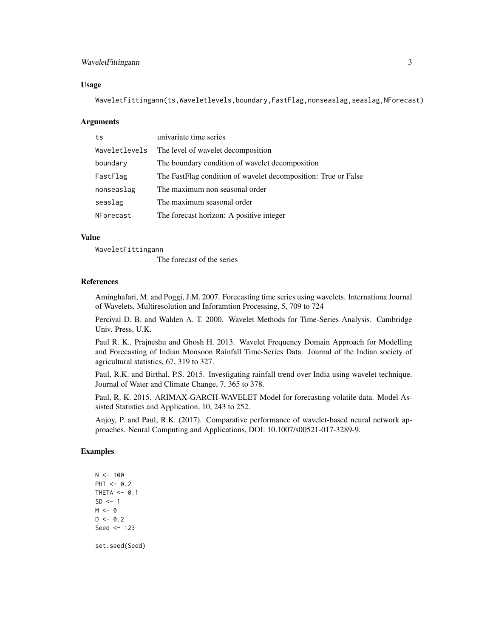#### WaveletFittingann 3

#### Usage

WaveletFittingann(ts,Waveletlevels,boundary,FastFlag,nonseaslag,seaslag,NForecast)

#### Arguments

| ts            | univariate time series                                         |
|---------------|----------------------------------------------------------------|
| Waveletlevels | The level of wavelet decomposition                             |
| boundary      | The boundary condition of wavelet decomposition                |
| FastFlag      | The FastFlag condition of wavelet decomposition: True or False |
| nonseaslag    | The maximum non seasonal order                                 |
| seaslag       | The maximum seasonal order                                     |
| NForecast     | The forecast horizon: A positive integer                       |

#### Value

WaveletFittingann

The forecast of the series

#### References

Aminghafari, M. and Poggi, J.M. 2007. Forecasting time series using wavelets. Internationa Journal of Wavelets, Multiresolution and Inforamtion Processing, 5, 709 to 724

Percival D. B. and Walden A. T. 2000. Wavelet Methods for Time-Series Analysis. Cambridge Univ. Press, U.K.

Paul R. K., Prajneshu and Ghosh H. 2013. Wavelet Frequency Domain Approach for Modelling and Forecasting of Indian Monsoon Rainfall Time-Series Data. Journal of the Indian society of agricultural statistics, 67, 319 to 327.

Paul, R.K. and Birthal, P.S. 2015. Investigating rainfall trend over India using wavelet technique. Journal of Water and Climate Change, 7, 365 to 378.

Paul, R. K. 2015. ARIMAX-GARCH-WAVELET Model for forecasting volatile data. Model Assisted Statistics and Application, 10, 243 to 252.

Anjoy, P. and Paul, R.K. (2017). Comparative performance of wavelet-based neural network approaches. Neural Computing and Applications, DOI: 10.1007/s00521-017-3289-9.

#### Examples

 $N < - 100$ PHI  $<-0.2$ THETA  $<-$  0.1  $SD < -1$  $M < - \theta$  $D \le -0.2$ Seed <- 123 set.seed(Seed)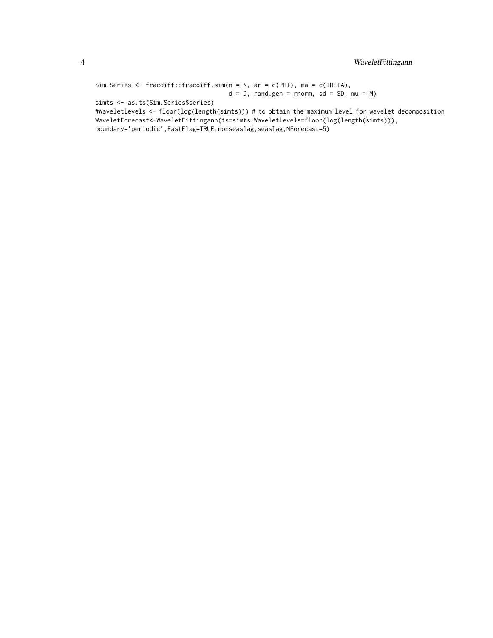```
Sim.Series <- fracdiff::fracdiff.sim(n = N, ar = c(PHI), ma = c(THETA),
                                    d = D, rand.gen = rnorm, sd = SD, mu = M)
```
simts <- as.ts(Sim.Series\$series)

#Waveletlevels <- floor(log(length(simts))) # to obtain the maximum level for wavelet decomposition WaveletForecast<-WaveletFittingann(ts=simts,Waveletlevels=floor(log(length(simts))), boundary='periodic',FastFlag=TRUE,nonseaslag,seaslag,NForecast=5)